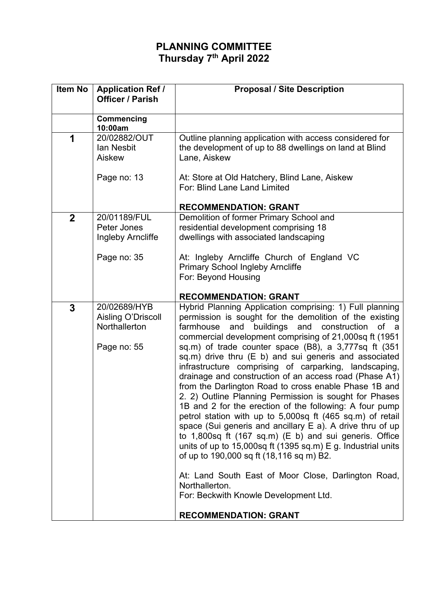## **PLANNING COMMITTEE Thursday 7th April 2022**

| Item No     | <b>Application Ref /</b><br><b>Officer / Parish</b> | <b>Proposal / Site Description</b>                                                                                                                                                                                                                                                                                                                                                                                                                                                                                                                                                                                                                                                                                                                                                                                                                                            |
|-------------|-----------------------------------------------------|-------------------------------------------------------------------------------------------------------------------------------------------------------------------------------------------------------------------------------------------------------------------------------------------------------------------------------------------------------------------------------------------------------------------------------------------------------------------------------------------------------------------------------------------------------------------------------------------------------------------------------------------------------------------------------------------------------------------------------------------------------------------------------------------------------------------------------------------------------------------------------|
|             | <b>Commencing</b><br>10:00am                        |                                                                                                                                                                                                                                                                                                                                                                                                                                                                                                                                                                                                                                                                                                                                                                                                                                                                               |
| 1           | 20/02882/OUT<br>lan Nesbit<br>Aiskew                | Outline planning application with access considered for<br>the development of up to 88 dwellings on land at Blind<br>Lane, Aiskew                                                                                                                                                                                                                                                                                                                                                                                                                                                                                                                                                                                                                                                                                                                                             |
|             | Page no: 13                                         | At: Store at Old Hatchery, Blind Lane, Aiskew<br>For: Blind Lane Land Limited                                                                                                                                                                                                                                                                                                                                                                                                                                                                                                                                                                                                                                                                                                                                                                                                 |
|             |                                                     | <b>RECOMMENDATION: GRANT</b>                                                                                                                                                                                                                                                                                                                                                                                                                                                                                                                                                                                                                                                                                                                                                                                                                                                  |
| $\mathbf 2$ | 20/01189/FUL<br>Peter Jones<br>Ingleby Arncliffe    | Demolition of former Primary School and<br>residential development comprising 18<br>dwellings with associated landscaping                                                                                                                                                                                                                                                                                                                                                                                                                                                                                                                                                                                                                                                                                                                                                     |
|             | Page no: 35                                         | At: Ingleby Arncliffe Church of England VC<br><b>Primary School Ingleby Arncliffe</b><br>For: Beyond Housing                                                                                                                                                                                                                                                                                                                                                                                                                                                                                                                                                                                                                                                                                                                                                                  |
|             |                                                     | <b>RECOMMENDATION: GRANT</b>                                                                                                                                                                                                                                                                                                                                                                                                                                                                                                                                                                                                                                                                                                                                                                                                                                                  |
| 3           | 20/02689/HYB<br>Aisling O'Driscoll                  | Hybrid Planning Application comprising: 1) Full planning<br>permission is sought for the demolition of the existing                                                                                                                                                                                                                                                                                                                                                                                                                                                                                                                                                                                                                                                                                                                                                           |
|             | Northallerton                                       | buildings and construction of a<br>farmhouse<br>and<br>commercial development comprising of 21,000sq ft (1951                                                                                                                                                                                                                                                                                                                                                                                                                                                                                                                                                                                                                                                                                                                                                                 |
|             | Page no: 55                                         | sq.m) of trade counter space (B8), a 3,777sq ft (351<br>sq.m) drive thru (E b) and sui generis and associated<br>infrastructure comprising of carparking, landscaping,<br>drainage and construction of an access road (Phase A1)<br>from the Darlington Road to cross enable Phase 1B and<br>2. 2) Outline Planning Permission is sought for Phases<br>1B and 2 for the erection of the following: A four pump<br>petrol station with up to 5,000sq ft (465 sq.m) of retail<br>space (Sui generis and ancillary E a). A drive thru of up<br>to $1,800$ sq ft $(167 \text{ sq.m})$ (E b) and sui generis. Office<br>units of up to 15,000sq ft (1395 sq.m) E g. Industrial units<br>of up to 190,000 sq ft (18,116 sq m) B2.<br>At: Land South East of Moor Close, Darlington Road,<br>Northallerton.<br>For: Beckwith Knowle Development Ltd.<br><b>RECOMMENDATION: GRANT</b> |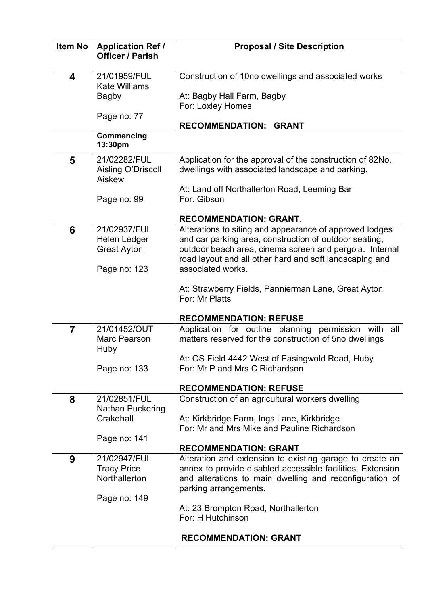| <b>Item No</b> | <b>Application Ref /</b><br><b>Officer / Parish</b> | <b>Proposal / Site Description</b>                                                |
|----------------|-----------------------------------------------------|-----------------------------------------------------------------------------------|
| 4              | 21/01959/FUL                                        | Construction of 10no dwellings and associated works                               |
|                | <b>Kate Williams</b>                                | At: Bagby Hall Farm, Bagby                                                        |
|                | <b>Bagby</b>                                        | For: Loxley Homes                                                                 |
|                | Page no: 77                                         |                                                                                   |
|                |                                                     | RECOMMENDATION: GRANT                                                             |
|                | <b>Commencing</b><br>13:30pm                        |                                                                                   |
| 5              | 21/02282/FUL                                        | Application for the approval of the construction of 82No.                         |
|                | Aisling O'Driscoll<br>Aiskew                        | dwellings with associated landscape and parking.                                  |
|                |                                                     | At: Land off Northallerton Road, Leeming Bar                                      |
|                | Page no: 99                                         | For: Gibson                                                                       |
|                |                                                     | <b>RECOMMENDATION: GRANT.</b>                                                     |
| 6              | 21/02937/FUL                                        | Alterations to siting and appearance of approved lodges                           |
|                | Helen Ledger                                        | and car parking area, construction of outdoor seating,                            |
|                | <b>Great Ayton</b>                                  | outdoor beach area, cinema screen and pergola. Internal                           |
|                | Page no: 123                                        | road layout and all other hard and soft landscaping and<br>associated works.      |
|                |                                                     |                                                                                   |
|                |                                                     | At: Strawberry Fields, Pannierman Lane, Great Ayton                               |
|                |                                                     | For: Mr Platts                                                                    |
|                |                                                     | <b>RECOMMENDATION: REFUSE</b>                                                     |
| $\overline{7}$ | 21/01452/OUT                                        | Application for outline planning permission with<br>all                           |
|                | Marc Pearson                                        | matters reserved for the construction of 5no dwellings                            |
|                | Huby                                                | At: OS Field 4442 West of Easingwold Road, Huby                                   |
|                | Page no: 133                                        | For: Mr P and Mrs C Richardson                                                    |
|                |                                                     |                                                                                   |
| 8              | 21/02851/FUL                                        | <b>RECOMMENDATION: REFUSE</b><br>Construction of an agricultural workers dwelling |
|                | <b>Nathan Puckering</b>                             |                                                                                   |
|                | Crakehall                                           | At: Kirkbridge Farm, Ings Lane, Kirkbridge                                        |
|                | Page no: 141                                        | For: Mr and Mrs Mike and Pauline Richardson                                       |
|                |                                                     | <b>RECOMMENDATION: GRANT</b>                                                      |
| 9              | 21/02947/FUL                                        | Alteration and extension to existing garage to create an                          |
|                | <b>Tracy Price</b>                                  | annex to provide disabled accessible facilities. Extension                        |
|                | Northallerton                                       | and alterations to main dwelling and reconfiguration of<br>parking arrangements.  |
|                | Page no: 149                                        |                                                                                   |
|                |                                                     | At: 23 Brompton Road, Northallerton                                               |
|                |                                                     | For: H Hutchinson                                                                 |
|                |                                                     | <b>RECOMMENDATION: GRANT</b>                                                      |